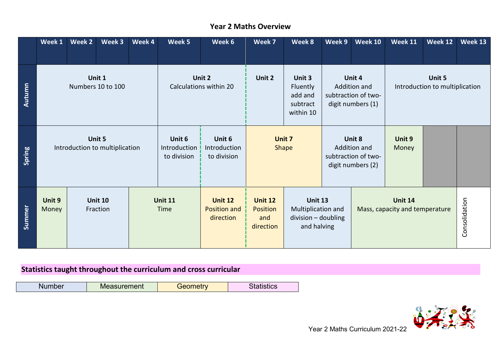|        | Week 1                                   | Week 2 | Week 3                     | Week 4                                | Week 5                                | Week 6                                      | Week 7                                                 | Week 8                                                                       | Week 9                                                             | <b>Week 10</b>  | <b>Week 11</b>                                   | Week 12 | Week 13       |
|--------|------------------------------------------|--------|----------------------------|---------------------------------------|---------------------------------------|---------------------------------------------|--------------------------------------------------------|------------------------------------------------------------------------------|--------------------------------------------------------------------|-----------------|--------------------------------------------------|---------|---------------|
| Autumn | Unit 1<br>Numbers 10 to 100              |        |                            |                                       | Unit 2<br>Calculations within 20      | Unit 2                                      | Unit 3<br>Fluently<br>add and<br>subtract<br>within 10 |                                                                              | Unit 4<br>Addition and<br>subtraction of two-<br>digit numbers (1) |                 | Unit 5<br>Introduction to multiplication         |         |               |
| Spring | Unit 5<br>Introduction to multiplication |        |                            | Unit 6<br>Introduction<br>to division | Unit 6<br>Introduction<br>to division |                                             | Unit 7<br>Shape                                        |                                                                              | Unit 8<br>Addition and<br>subtraction of two-<br>digit numbers (2) | Unit 9<br>Money |                                                  |         |               |
| Summer | Unit 9<br>Money                          |        | <b>Unit 10</b><br>Fraction |                                       | <b>Unit 11</b><br>Time                | <b>Unit 12</b><br>Position and<br>direction | <b>Unit 12</b><br><b>Position</b><br>and<br>direction  | <b>Unit 13</b><br>Multiplication and<br>$division - doubling$<br>and halving |                                                                    |                 | <b>Unit 14</b><br>Mass, capacity and temperature |         | Consolidation |

## **Year 2 Maths Overview**

## **Statistics taught throughout the curriculum and cross curricular**

| urement                                                                          | <b>Contract Contract Contract Contract Contract</b> |  |
|----------------------------------------------------------------------------------|-----------------------------------------------------|--|
| ,我们就是一个人的人,我们就是一个人的人,我们就是一个人的人,我们就是一个人的人,我们就是一个人的人,我们就是一个人的人,我们就是一个人的人,我们就是一个人的人 | $  -$                                               |  |

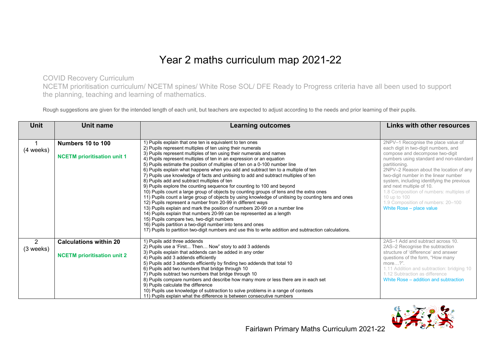## Year 2 maths curriculum map 2021-22

COVID Recovery Curriculum

NCETM prioritisation curriculum/ NCETM spines/ White Rose SOL/ DFE Ready to Progress criteria have all been used to support the planning, teaching and learning of mathematics.

Rough suggestions are given for the intended length of each unit, but teachers are expected to adjust according to the needs and prior learning of their pupils.

| <b>Unit</b>    | Unit name                          | <b>Learning outcomes</b>                                                                               | Links with other resources                 |
|----------------|------------------------------------|--------------------------------------------------------------------------------------------------------|--------------------------------------------|
|                |                                    |                                                                                                        |                                            |
|                | Numbers 10 to 100                  | 1) Pupils explain that one ten is equivalent to ten ones                                               | 2NPV-1 Recognise the place value of        |
| (4 weeks)      |                                    | 2) Pupils represent multiples of ten using their numerals                                              | each digit in two-digit numbers, and       |
|                | <b>NCETM</b> prioritisation unit 1 | 3) Pupils represent multiples of ten using their numerals and names                                    | compose and decompose two-digit            |
|                |                                    | 4) Pupils represent multiples of ten in an expression or an equation                                   | numbers using standard and non-standard    |
|                |                                    | 5) Pupils estimate the position of multiples of ten on a 0-100 number line                             | partitioning.                              |
|                |                                    | 6) Pupils explain what happens when you add and subtract ten to a multiple of ten                      | 2NPV-2 Reason about the location of any    |
|                |                                    | 7) Pupils use knowledge of facts and unitising to add and subtract multiples of ten                    | two-digit number in the linear number      |
|                |                                    | 8) Pupils add and subtract multiples of ten                                                            | system, including identifying the previous |
|                |                                    | 9) Pupils explore the counting sequence for counting to 100 and beyond                                 | and next multiple of 10.                   |
|                |                                    | 10) Pupils count a large group of objects by counting groups of tens and the extra ones                | 1.8 Composition of numbers: multiples of   |
|                |                                    | 11) Pupils count a large group of objects by using knowledge of unitising by counting tens and ones    | 10 up to 100                               |
|                |                                    | 12) Pupils represent a number from 20-99 in different ways                                             | 1.9 Composition of numbers: 20-100         |
|                |                                    | 13) Pupils explain and mark the position of numbers 20-99 on a number line                             | White Rose - place value                   |
|                |                                    | 14) Pupils explain that numbers 20-99 can be represented as a length                                   |                                            |
|                |                                    | 15) Pupils compare two, two-digit numbers                                                              |                                            |
|                |                                    | 16) Pupils partition a two-digit number into tens and ones                                             |                                            |
|                |                                    | 17) Pupils to partition two-digit numbers and use this to write addition and subtraction calculations. |                                            |
| $\overline{2}$ | <b>Calculations within 20</b>      | 1) Pupils add three addends                                                                            | 2AS-1 Add and subtract across 10.          |
| (3 weeks)      |                                    | 2) Pupils use a 'First Then Now" story to add 3 addends                                                | 2AS-2 Recognise the subtraction            |
|                |                                    | 3) Pupils explain that addends can be added in any order                                               | structure of 'difference' and answer       |
|                | <b>NCETM</b> prioritisation unit 2 | 4) Pupils add 3 addends efficiently                                                                    | questions of the form, "How many           |
|                |                                    | 5) Pupils add 3 addends efficiently by finding two addends that total 10                               | more $\ldots$ ?".                          |
|                |                                    | 6) Pupils add two numbers that bridge through 10                                                       | 1.11 Addition and subtraction: bridging 10 |
|                |                                    | 7) Pupils subtract two numbers that bridge through 10                                                  | 1.12 Subtraction as difference             |
|                |                                    | 8) Pupils compare numbers and describe how many more or less there are in each set                     | White Rose – addition and subtraction      |
|                |                                    | 9) Pupils calculate the difference                                                                     |                                            |
|                |                                    | 10) Pupils use knowledge of subtraction to solve problems in a range of contexts                       |                                            |
|                |                                    | 11) Pupils explain what the difference is between consecutive numbers                                  |                                            |

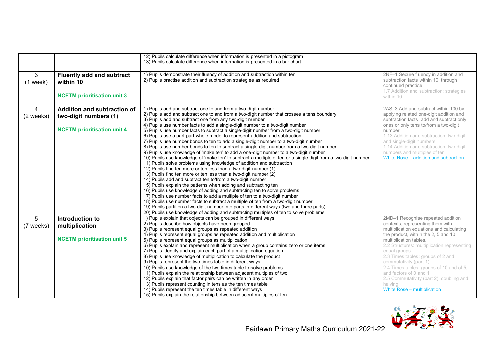|                 |                                                                                            | 12) Pupils calculate difference when information is presented in a pictogram<br>13) Pupils calculate difference when information is presented in a bar chart                                                                                                                                                                                                                                                                                                                                                                                                                                                                                                                                                                                                                                                                                                                                                                                                                                                                                                                                                                                                                                                                                                                                                                                                                                                                                                                                                                                                                     |                                                                                                                                                                                                                                                                                                                                                                              |
|-----------------|--------------------------------------------------------------------------------------------|----------------------------------------------------------------------------------------------------------------------------------------------------------------------------------------------------------------------------------------------------------------------------------------------------------------------------------------------------------------------------------------------------------------------------------------------------------------------------------------------------------------------------------------------------------------------------------------------------------------------------------------------------------------------------------------------------------------------------------------------------------------------------------------------------------------------------------------------------------------------------------------------------------------------------------------------------------------------------------------------------------------------------------------------------------------------------------------------------------------------------------------------------------------------------------------------------------------------------------------------------------------------------------------------------------------------------------------------------------------------------------------------------------------------------------------------------------------------------------------------------------------------------------------------------------------------------------|------------------------------------------------------------------------------------------------------------------------------------------------------------------------------------------------------------------------------------------------------------------------------------------------------------------------------------------------------------------------------|
|                 |                                                                                            |                                                                                                                                                                                                                                                                                                                                                                                                                                                                                                                                                                                                                                                                                                                                                                                                                                                                                                                                                                                                                                                                                                                                                                                                                                                                                                                                                                                                                                                                                                                                                                                  |                                                                                                                                                                                                                                                                                                                                                                              |
| 3<br>$(1$ week) | <b>Fluently add and subtract</b><br>within 10                                              | 1) Pupils demonstrate their fluency of addition and subtraction within ten<br>2) Pupils practise addition and subtraction strategies as required                                                                                                                                                                                                                                                                                                                                                                                                                                                                                                                                                                                                                                                                                                                                                                                                                                                                                                                                                                                                                                                                                                                                                                                                                                                                                                                                                                                                                                 | 2NF-1 Secure fluency in addition and<br>subtraction facts within 10, through<br>continued practice.<br>1.7 Addition and subtraction: strategies                                                                                                                                                                                                                              |
|                 | <b>NCETM</b> prioritisation unit 3                                                         |                                                                                                                                                                                                                                                                                                                                                                                                                                                                                                                                                                                                                                                                                                                                                                                                                                                                                                                                                                                                                                                                                                                                                                                                                                                                                                                                                                                                                                                                                                                                                                                  | within 10                                                                                                                                                                                                                                                                                                                                                                    |
| 4<br>(2 weeks)  | Addition and subtraction of<br>two-digit numbers (1)<br><b>NCETM</b> prioritisation unit 4 | 1) Pupils add and subtract one to and from a two-digit number<br>2) Pupils add and subtract one to and from a two-digit number that crosses a tens boundary<br>3) Pupils add and subtract one from any two-digit number<br>4) Pupils use number facts to add a single-digit number to a two-digit number<br>5) Pupils use number facts to subtract a single-digit number from a two-digit number<br>6) Pupils use a part-part-whole model to represent addition and subtraction<br>7) Pupils use number bonds to ten to add a single-digit number to a two-digit number<br>8) Pupils use number bonds to ten to subtract a single-digit number from a two-digit number<br>9) Pupils use knowledge of 'make ten' to add a one-digit number to a two-digit number<br>10) Pupils use knowledge of 'make ten' to subtract a multiple of ten or a single-digit from a two-digit number<br>11) Pupils solve problems using knowledge of addition and subtraction<br>12) Pupils find ten more or ten less than a two-digit number (1)<br>13) Pupils find ten more or ten less than a two-digit number (2)<br>14) Pupils add and subtract ten to/from a two-digit number<br>15) Pupils explain the patterns when adding and subtracting ten<br>16) Pupils use knowledge of adding and subtracting ten to solve problems<br>17) Pupils use number facts to add a multiple of ten to a two-digit number<br>18) Pupils use number facts to subtract a multiple of ten from a two-digit number<br>19) Pupils partition a two-digit number into parts in different ways (two and three parts) | 2AS-3 Add and subtract within 100 by<br>applying related one-digit addition and<br>subtraction facts: add and subtract only<br>ones or only tens to/from a two-digit<br>number.<br>1.13 Addition and subtraction: two-digit<br>and single-digit numbers<br>1.14 Addition and subtraction: two-digit<br>numbers and multiples of ten<br>White Rose – addition and subtraction |
|                 |                                                                                            | 20) Pupils use knowledge of adding and subtracting multiples of ten to solve problems                                                                                                                                                                                                                                                                                                                                                                                                                                                                                                                                                                                                                                                                                                                                                                                                                                                                                                                                                                                                                                                                                                                                                                                                                                                                                                                                                                                                                                                                                            |                                                                                                                                                                                                                                                                                                                                                                              |
| 5               | Introduction to                                                                            | 1) Pupils explain that objects can be grouped in different ways                                                                                                                                                                                                                                                                                                                                                                                                                                                                                                                                                                                                                                                                                                                                                                                                                                                                                                                                                                                                                                                                                                                                                                                                                                                                                                                                                                                                                                                                                                                  | 2MD-1 Recognise repeated addition                                                                                                                                                                                                                                                                                                                                            |
| (7 weeks)       | multiplication                                                                             | 2) Pupils describe how objects have been grouped                                                                                                                                                                                                                                                                                                                                                                                                                                                                                                                                                                                                                                                                                                                                                                                                                                                                                                                                                                                                                                                                                                                                                                                                                                                                                                                                                                                                                                                                                                                                 | contexts, representing them with                                                                                                                                                                                                                                                                                                                                             |
|                 |                                                                                            | 3) Pupils represent equal groups as repeated addition<br>4) Pupils represent equal groups as repeated addition and multiplication                                                                                                                                                                                                                                                                                                                                                                                                                                                                                                                                                                                                                                                                                                                                                                                                                                                                                                                                                                                                                                                                                                                                                                                                                                                                                                                                                                                                                                                | multiplication equations and calculating<br>the product, within the 2, 5 and 10                                                                                                                                                                                                                                                                                              |
|                 | <b>NCETM</b> prioritisation unit 5                                                         | 5) Pupils represent equal groups as multiplication                                                                                                                                                                                                                                                                                                                                                                                                                                                                                                                                                                                                                                                                                                                                                                                                                                                                                                                                                                                                                                                                                                                                                                                                                                                                                                                                                                                                                                                                                                                               | multiplication tables.                                                                                                                                                                                                                                                                                                                                                       |
|                 |                                                                                            | 6) Pupils explain and represent multiplication when a group contains zero or one items<br>7) Pupils identify and explain each part of a multiplication equation                                                                                                                                                                                                                                                                                                                                                                                                                                                                                                                                                                                                                                                                                                                                                                                                                                                                                                                                                                                                                                                                                                                                                                                                                                                                                                                                                                                                                  | 2.2 Structures: multiplication representing<br>equal groups                                                                                                                                                                                                                                                                                                                  |
|                 |                                                                                            | 8) Pupils use knowledge of multiplication to calculate the product                                                                                                                                                                                                                                                                                                                                                                                                                                                                                                                                                                                                                                                                                                                                                                                                                                                                                                                                                                                                                                                                                                                                                                                                                                                                                                                                                                                                                                                                                                               | 2.3 Times tables: groups of 2 and                                                                                                                                                                                                                                                                                                                                            |
|                 |                                                                                            | 9) Pupils represent the two times table in different ways<br>10) Pupils use knowledge of the two times table to solve problems                                                                                                                                                                                                                                                                                                                                                                                                                                                                                                                                                                                                                                                                                                                                                                                                                                                                                                                                                                                                                                                                                                                                                                                                                                                                                                                                                                                                                                                   | commutativity (part 1)<br>2.4 Times tables: groups of 10 and of 5,                                                                                                                                                                                                                                                                                                           |
|                 |                                                                                            | 11) Pupils explain the relationship between adjacent multiples of two                                                                                                                                                                                                                                                                                                                                                                                                                                                                                                                                                                                                                                                                                                                                                                                                                                                                                                                                                                                                                                                                                                                                                                                                                                                                                                                                                                                                                                                                                                            | and factors of 0 and 1                                                                                                                                                                                                                                                                                                                                                       |
|                 |                                                                                            | 12) Pupils explain that factor pairs can be written in any order                                                                                                                                                                                                                                                                                                                                                                                                                                                                                                                                                                                                                                                                                                                                                                                                                                                                                                                                                                                                                                                                                                                                                                                                                                                                                                                                                                                                                                                                                                                 | 2.5 Commutativity (part 2), doubling and                                                                                                                                                                                                                                                                                                                                     |
|                 |                                                                                            | 13) Pupils represent counting in tens as the ten times table                                                                                                                                                                                                                                                                                                                                                                                                                                                                                                                                                                                                                                                                                                                                                                                                                                                                                                                                                                                                                                                                                                                                                                                                                                                                                                                                                                                                                                                                                                                     | halving                                                                                                                                                                                                                                                                                                                                                                      |
|                 |                                                                                            | 14) Pupils represent the ten times table in different ways                                                                                                                                                                                                                                                                                                                                                                                                                                                                                                                                                                                                                                                                                                                                                                                                                                                                                                                                                                                                                                                                                                                                                                                                                                                                                                                                                                                                                                                                                                                       | White Rose - multiplication                                                                                                                                                                                                                                                                                                                                                  |
|                 |                                                                                            | 15) Pupils explain the relationship between adjacent multiples of ten                                                                                                                                                                                                                                                                                                                                                                                                                                                                                                                                                                                                                                                                                                                                                                                                                                                                                                                                                                                                                                                                                                                                                                                                                                                                                                                                                                                                                                                                                                            |                                                                                                                                                                                                                                                                                                                                                                              |

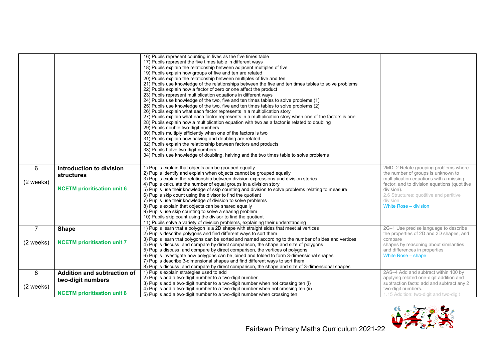|                             |                                                                                        | 16) Pupils represent counting in fives as the five times table<br>17) Pupils represent the five times table in different ways<br>18) Pupils explain the relationship between adjacent multiples of five<br>19) Pupils explain how groups of five and ten are related<br>20) Pupils explain the relationship between multiples of five and ten<br>21) Pupils use knowledge of the relationships between the five and ten times tables to solve problems<br>22) Pupils explain how a factor of zero or one affect the product<br>23) Pupils represent multiplication equations in different ways<br>24) Pupils use knowledge of the two, five and ten times tables to solve problems (1)<br>25) Pupils use knowledge of the two, five and ten times tables to solve problems (2)<br>26) Pupils explain what each factor represents in a multiplication story<br>27) Pupils explain what each factor represents in a multiplication story when one of the factors is one<br>28) Pupils explain how a multiplication equation with two as a factor is related to doubling<br>29) Pupils double two-digit numbers<br>30) Pupils multiply efficiently when one of the factors is two<br>31) Pupils explain how halving and doubling are related<br>32) Pupils explain the relationship between factors and products<br>33) Pupils halve two-digit numbers<br>34) Pupils use knowledge of doubling, halving and the two times table to solve problems |                                                                                                                                                                                                                                                                     |
|-----------------------------|----------------------------------------------------------------------------------------|------------------------------------------------------------------------------------------------------------------------------------------------------------------------------------------------------------------------------------------------------------------------------------------------------------------------------------------------------------------------------------------------------------------------------------------------------------------------------------------------------------------------------------------------------------------------------------------------------------------------------------------------------------------------------------------------------------------------------------------------------------------------------------------------------------------------------------------------------------------------------------------------------------------------------------------------------------------------------------------------------------------------------------------------------------------------------------------------------------------------------------------------------------------------------------------------------------------------------------------------------------------------------------------------------------------------------------------------------------------------------------------------------------------------------------------------|---------------------------------------------------------------------------------------------------------------------------------------------------------------------------------------------------------------------------------------------------------------------|
| 6<br>(2 weeks)              | Introduction to division<br><b>structures</b><br><b>NCETM</b> prioritisation unit 6    | 1) Pupils explain that objects can be grouped equally<br>2) Pupils identify and explain when objects cannot be grouped equally<br>3) Pupils explain the relationship between division expressions and division stories<br>4) Pupils calculate the number of equal groups in a division story<br>5) Pupils use their knowledge of skip counting and division to solve problems relating to measure<br>6) Pupils skip count using the divisor to find the quotient<br>7) Pupils use their knowledge of division to solve problems<br>8) Pupils explain that objects can be shared equally<br>9) Pupils use skip counting to solve a sharing problem<br>10) Pupils skip count using the divisor to find the quotient                                                                                                                                                                                                                                                                                                                                                                                                                                                                                                                                                                                                                                                                                                                              | 2MD-2 Relate grouping problems where<br>the number of groups is unknown to<br>multiplication equations with a missing<br>factor, and to division equations (quotitive<br>division).<br>2.6 Structures: quotitive and partitive<br>division<br>White Rose - division |
| $\overline{7}$<br>(2 weeks) | <b>Shape</b><br><b>NCETM</b> prioritisation unit 7                                     | 11) Pupils solve a variety of division problems, explaining their understanding<br>1) Pupils learn that a polygon is a 2D shape with straight sides that meet at vertices<br>2) Pupils describe polygons and find different ways to sort them<br>3) Pupils learn that polygons can be sorted and named according to the number of sides and vertices<br>4) Pupils discuss, and compare by direct comparison, the shape and size of polygons<br>5) Pupils discuss, and compare by direct comparison, the vertices of polygons<br>6) Pupils investigate how polygons can be joined and folded to form 3-dimensional shapes<br>7) Pupils describe 3-dimensional shapes and find different ways to sort them<br>8) Pupils discuss, and compare by direct comparison, the shape and size of 3-dimensional shapes                                                                                                                                                                                                                                                                                                                                                                                                                                                                                                                                                                                                                                    | 2G-1 Use precise language to describe<br>the properties of 2D and 3D shapes, and<br>compare<br>shapes by reasoning about similarities<br>and differences in properties<br>White Rose - shape                                                                        |
| 8<br>(2 weeks)              | Addition and subtraction of<br>two-digit numbers<br><b>NCETM</b> prioritisation unit 8 | 1) Pupils explain strategies used to add<br>2) Pupils add a two-digit number to a two-digit number<br>3) Pupils add a two-digit number to a two-digit number when not crossing ten (i)<br>4) Pupils add a two-digit number to a two-digit number when not crossing ten (ii)<br>5) Pupils add a two-digit number to a two-digit number when crossing ten                                                                                                                                                                                                                                                                                                                                                                                                                                                                                                                                                                                                                                                                                                                                                                                                                                                                                                                                                                                                                                                                                        | 2AS-4 Add and subtract within 100 by<br>applying related one-digit addition and<br>subtraction facts: add and subtract any 2<br>two-digit numbers.<br>1.15 Addition: two-digit and two-digit                                                                        |

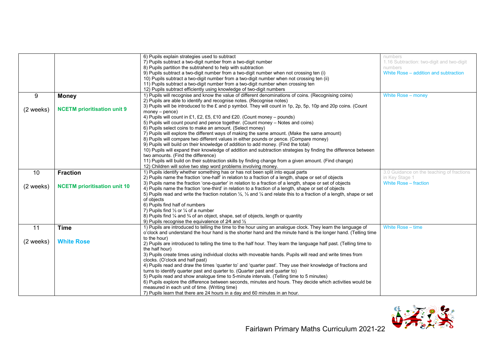|                     |                                     | 6) Pupils explain strategies used to subtract                                                                                                          | numbers                                   |
|---------------------|-------------------------------------|--------------------------------------------------------------------------------------------------------------------------------------------------------|-------------------------------------------|
|                     |                                     | 7) Pupils subtract a two-digit number from a two-digit number                                                                                          | 1.16 Subtraction: two-digit and two-digit |
|                     |                                     | 8) Pupils partition the subtrahend to help with subtraction                                                                                            | numbers                                   |
|                     |                                     | 9) Pupils subtract a two-digit number from a two-digit number when not crossing ten (i)                                                                | White Rose - addition and subtraction     |
|                     |                                     | 10) Pupils subtract a two-digit number from a two-digit number when not crossing ten (ii)                                                              |                                           |
|                     |                                     | 11) Pupils subtract a two-digit number from a two-digit number when crossing ten                                                                       |                                           |
|                     |                                     | 12) Pupils subtract efficiently using knowledge of two-digit numbers                                                                                   |                                           |
|                     |                                     | 1) Pupils will recognise and know the value of different denominations of coins. (Recognising coins)                                                   | White Rose - money                        |
| 9                   | <b>Money</b>                        | 2) Pupils are able to identify and recognise notes. (Recognise notes)                                                                                  |                                           |
|                     |                                     |                                                                                                                                                        |                                           |
| $(2 \text{ weeks})$ | <b>NCETM</b> prioritisation unit 9  | 3) Pupils will be introduced to the £ and p symbol. They will count in 1p, 2p, 5p, 10p and 20p coins. (Count                                           |                                           |
|                     |                                     | $money - pence)$                                                                                                                                       |                                           |
|                     |                                     | 4) Pupils will count in £1, £2, £5, £10 and £20. (Count money – pounds)                                                                                |                                           |
|                     |                                     | 5) Pupils will count pound and pence together. (Count money – Notes and coins)                                                                         |                                           |
|                     |                                     | 6) Pupils select coins to make an amount. (Select money)                                                                                               |                                           |
|                     |                                     | 7) Pupils will explore the different ways of making the same amount. (Make the same amount)                                                            |                                           |
|                     |                                     | 8) Pupils will compare two different values in either pounds or pence. (Compare money)                                                                 |                                           |
|                     |                                     | 9) Pupils will build on their knowledge of addition to add money. (Find the total)                                                                     |                                           |
|                     |                                     | 10) Pupils will expand their knowledge of addition and subtraction strategies by finding the difference between                                        |                                           |
|                     |                                     | two amounts. (Find the difference)                                                                                                                     |                                           |
|                     |                                     | 11) Pupils will build on their subtraction skills by finding change from a given amount. (Find change)                                                 |                                           |
|                     |                                     | 12) Children will solve two step word problems involving money.                                                                                        |                                           |
| 10                  | <b>Fraction</b>                     | 1) Pupils identify whether something has or has not been split into equal parts                                                                        | 3.0 Guidance on the teaching of fractions |
|                     |                                     | 2) Pupils name the fraction 'one-half' in relation to a fraction of a length, shape or set of objects                                                  | in Key Stage 1                            |
|                     |                                     | 3) Pupils name the fraction 'one-quarter' in relation to a fraction of a length, shape or set of objects                                               | White Rose - fraction                     |
| (2 weeks)           | <b>NCETM</b> prioritisation unit 10 | 4) Pupils name the fraction 'one-third' in relation to a fraction of a length, shape or set of objects                                                 |                                           |
|                     |                                     | 5) Pupils read and write the fraction notation $\frac{1}{2}$ , $\frac{1}{2}$ and $\frac{1}{4}$ and relate this to a fraction of a length, shape or set |                                           |
|                     |                                     | of objects                                                                                                                                             |                                           |
|                     |                                     | 6) Pupils find half of numbers                                                                                                                         |                                           |
|                     |                                     | 7) Pupils find $\frac{1}{3}$ or $\frac{1}{4}$ of a number                                                                                              |                                           |
|                     |                                     | 8) Pupils find $\frac{1}{4}$ and $\frac{3}{4}$ of an object, shape, set of objects, length or quantity                                                 |                                           |
|                     |                                     | 9) Pupils recognise the equivalence of 2/4 and $\frac{1}{2}$                                                                                           |                                           |
| 11                  | <b>Time</b>                         | 1) Pupils are introduced to telling the time to the hour using an analogue clock. They learn the language of                                           | White Rose - time                         |
|                     |                                     | o'clock and understand the hour hand is the shorter hand and the minute hand is the longer hand. (Telling time                                         |                                           |
|                     |                                     | to the hour)                                                                                                                                           |                                           |
| (2 weeks)           | <b>White Rose</b>                   | 2) Pupils are introduced to telling the time to the half hour. They learn the language half past. (Telling time to                                     |                                           |
|                     |                                     | the half hour)                                                                                                                                         |                                           |
|                     |                                     | 3) Pupils create times using individual clocks with moveable hands. Pupils will read and write times from                                              |                                           |
|                     |                                     | clocks. (O'clock and half past)                                                                                                                        |                                           |
|                     |                                     | 4) Pupils read and draw the times 'quarter to' and 'quarter past'. They use their knowledge of fractions and                                           |                                           |
|                     |                                     | turns to identify quarter past and quarter to. (Quarter past and quarter to)                                                                           |                                           |
|                     |                                     | 5) Pupils read and show analoque time to 5-minute intervals. (Telling time to 5 minutes)                                                               |                                           |
|                     |                                     |                                                                                                                                                        |                                           |
|                     |                                     | 6) Pupils explore the difference between seconds, minutes and hours. They decide which activities would be                                             |                                           |
|                     |                                     | measured in each unit of time. (Writing time)                                                                                                          |                                           |
|                     |                                     | 7) Pupils learn that there are 24 hours in a day and 60 minutes in an hour.                                                                            |                                           |

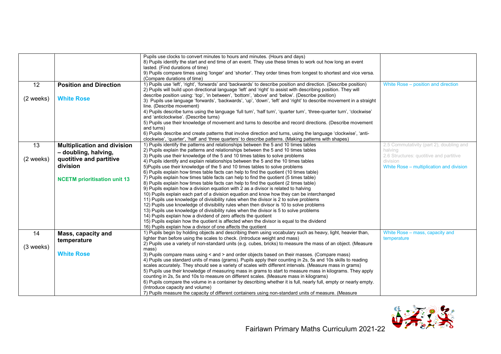|           |                                     | Pupils use clocks to convert minutes to hours and minutes. (Hours and days)<br>8) Pupils identify the start and end time of an event. They use these times to work out how long an event<br>lasted. (Find durations of time)<br>9) Pupils compare times using 'longer' and 'shorter'. They order times from longest to shortest and vice versa.<br>(Compare durations of time) |                                                |
|-----------|-------------------------------------|--------------------------------------------------------------------------------------------------------------------------------------------------------------------------------------------------------------------------------------------------------------------------------------------------------------------------------------------------------------------------------|------------------------------------------------|
| 12        | <b>Position and Direction</b>       | 1) Pupils use 'left', 'right', 'forwards' and 'backwards' to describe position and direction. (Describe position)<br>2) Pupils will build upon directional language 'left' and 'right' to assist with describing position. They will                                                                                                                                           | White Rose – position and direction            |
| (2 weeks) | <b>White Rose</b>                   | describe position using: 'top', 'in between', 'bottom', 'above' and 'below'. (Describe position)<br>3) Pupils use language 'forwards', 'backwards', 'up', 'down', 'left' and 'right' to describe movement in a straight<br>line. (Describe movement)                                                                                                                           |                                                |
|           |                                     | 4) Pupils describe turns using the language 'full turn', 'half turn', 'quarter turn', 'three-quarter turn', 'clockwise'                                                                                                                                                                                                                                                        |                                                |
|           |                                     | and 'anticlockwise'. (Describe turns)                                                                                                                                                                                                                                                                                                                                          |                                                |
|           |                                     | 5) Pupils use their knowledge of movement and turns to describe and record directions. (Describe movement<br>and turns)                                                                                                                                                                                                                                                        |                                                |
|           |                                     | 6) Pupils describe and create patterns that involve direction and turns, using the language 'clockwise', 'anti-                                                                                                                                                                                                                                                                |                                                |
|           |                                     | clockwise', 'quarter', 'half' and 'three quarters' to describe patterns. (Making patterns with shapes)                                                                                                                                                                                                                                                                         |                                                |
| 13        | <b>Multiplication and division</b>  | 1) Pupils identify the patterns and relationships between the 5 and 10 times tables                                                                                                                                                                                                                                                                                            | 2.5 Commutativity (part 2), doubling and       |
|           | - doubling, halving,                | 2) Pupils explain the patterns and relationships between the 5 and 10 times tables                                                                                                                                                                                                                                                                                             | halving                                        |
| (2 weeks) | quotitive and partitive             | 3) Pupils use their knowledge of the 5 and 10 times tables to solve problems                                                                                                                                                                                                                                                                                                   | 2.6 Structures: quotitive and partitive        |
|           | division                            | 4) Pupils identify and explain relationships between the 5 and the 10 times tables                                                                                                                                                                                                                                                                                             | division                                       |
|           |                                     | 5) Pupils use their knowledge of the 5 and 10 times tables to solve problems                                                                                                                                                                                                                                                                                                   | White Rose - multiplication and division       |
|           |                                     | 6) Pupils explain how times table facts can help to find the quotient (10 times table)<br>7) Pupils explain how times table facts can help to find the quotient (5 times table)                                                                                                                                                                                                |                                                |
|           | <b>NCETM</b> prioritisation unit 13 | 8) Pupils explain how times table facts can help to find the quotient (2 times table)                                                                                                                                                                                                                                                                                          |                                                |
|           |                                     | 9) Pupils explain how a division equation with 2 as a divisor is related to halving                                                                                                                                                                                                                                                                                            |                                                |
|           |                                     | 10) Pupils explain each part of a division equation and know how they can be interchanged                                                                                                                                                                                                                                                                                      |                                                |
|           |                                     | 11) Pupils use knowledge of divisibility rules when the divisor is 2 to solve problems                                                                                                                                                                                                                                                                                         |                                                |
|           |                                     | 12) Pupils use knowledge of divisibility rules when then divisor is 10 to solve problems                                                                                                                                                                                                                                                                                       |                                                |
|           |                                     | 13) Pupils use knowledge of divisibility rules when the divisor is 5 to solve problems                                                                                                                                                                                                                                                                                         |                                                |
|           |                                     | 14) Pupils explain how a dividend of zero affects the quotient                                                                                                                                                                                                                                                                                                                 |                                                |
|           |                                     | 15) Pupils explain how the quotient is affected when the divisor is equal to the dividend                                                                                                                                                                                                                                                                                      |                                                |
|           |                                     | 16) Pupils explain how a divisor of one affects the quotient<br>1) Pupils begin by holding objects and describing them using vocabulary such as heavy, light, heavier than,                                                                                                                                                                                                    |                                                |
| 14        | Mass, capacity and                  | lighter than before using the scales to check. (Introduce weight and mass)                                                                                                                                                                                                                                                                                                     | White Rose - mass, capacity and<br>temperature |
|           | temperature                         | 2) Pupils use a variety of non-standard units (e.g. cubes, bricks) to measure the mass of an object. (Measure                                                                                                                                                                                                                                                                  |                                                |
| (3 weeks) |                                     | mass)                                                                                                                                                                                                                                                                                                                                                                          |                                                |
|           | <b>White Rose</b>                   | 3) Pupils compare mass using < and > and order objects based on their masses. (Compare mass)                                                                                                                                                                                                                                                                                   |                                                |
|           |                                     | 4) Pupils use standard units of mass (grams). Pupils apply their counting in 2s, 5s and 10s skills to reading                                                                                                                                                                                                                                                                  |                                                |
|           |                                     | scales accurately. They should see a variety of scales with different intervals. (Measure mass in grams)                                                                                                                                                                                                                                                                       |                                                |
|           |                                     | 5) Pupils use their knowledge of measuring mass in grams to start to measure mass in kilograms. They apply                                                                                                                                                                                                                                                                     |                                                |
|           |                                     | counting in 2s, 5s and 10s to measure on different scales. (Measure mass in kilograms)                                                                                                                                                                                                                                                                                         |                                                |
|           |                                     | 6) Pupils compare the volume in a container by describing whether it is full, nearly full, empty or nearly empty.<br>(Introduce capacity and volume)                                                                                                                                                                                                                           |                                                |
|           |                                     | 7) Pupils measure the capacity of different containers using non-standard units of measure. (Measure                                                                                                                                                                                                                                                                           |                                                |